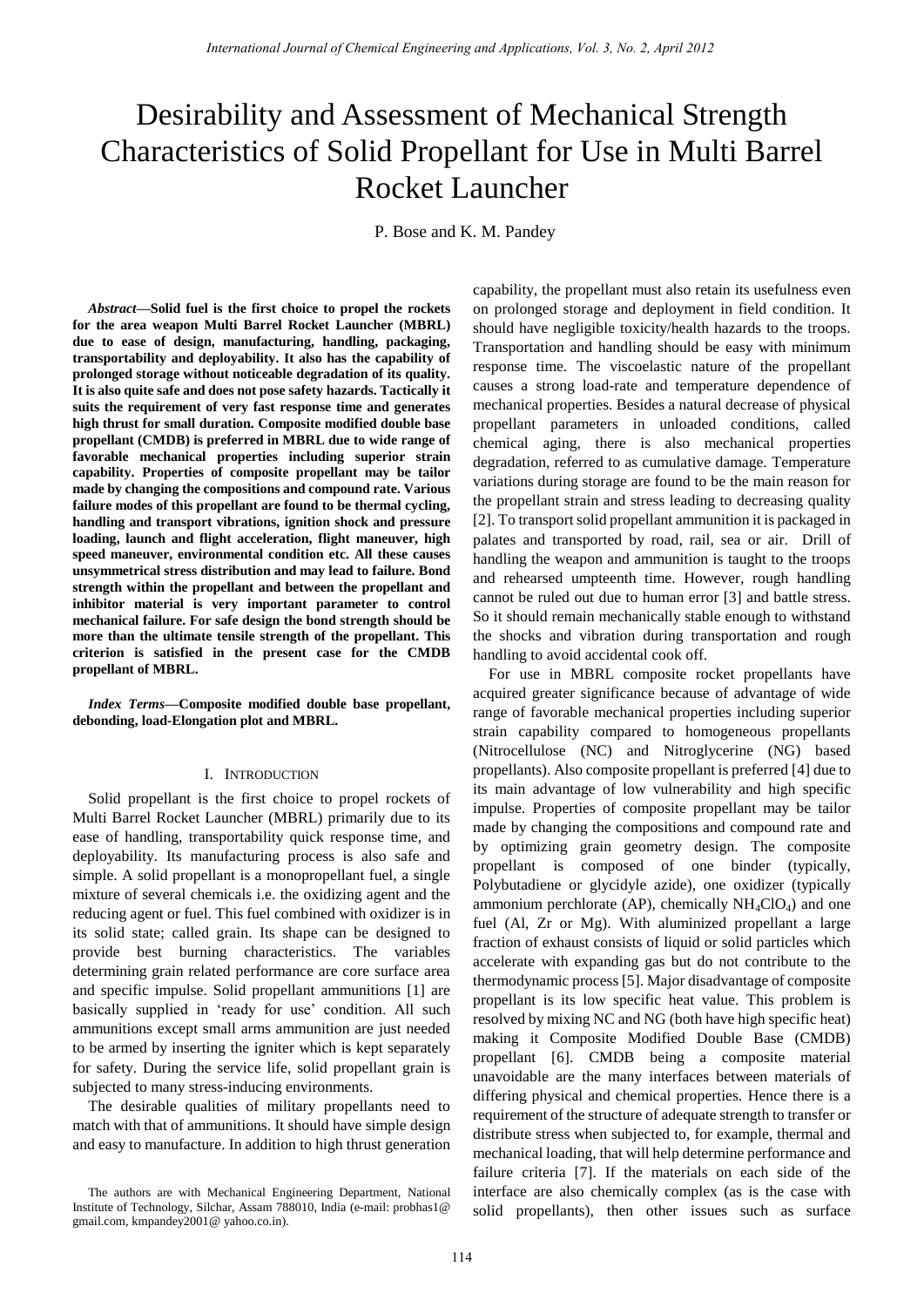# Desirability and Assessment of Mechanical Strength Characteristics of Solid Propellant for Use in Multi Barrel Rocket Launcher

P. Bose and K. M. Pandey

*Abstract***—Solid fuel is the first choice to propel the rockets for the area weapon Multi Barrel Rocket Launcher (MBRL) due to ease of design, manufacturing, handling, packaging, transportability and deployability. It also has the capability of prolonged storage without noticeable degradation of its quality. It is also quite safe and does not pose safety hazards. Tactically it suits the requirement of very fast response time and generates high thrust for small duration. Composite modified double base propellant (CMDB) is preferred in MBRL due to wide range of favorable mechanical properties including superior strain capability. Properties of composite propellant may be tailor made by changing the compositions and compound rate. Various failure modes of this propellant are found to be thermal cycling, handling and transport vibrations, ignition shock and pressure loading, launch and flight acceleration, flight maneuver, high speed maneuver, environmental condition etc. All these causes unsymmetrical stress distribution and may lead to failure. Bond strength within the propellant and between the propellant and inhibitor material is very important parameter to control mechanical failure. For safe design the bond strength should be more than the ultimate tensile strength of the propellant. This criterion is satisfied in the present case for the CMDB propellant of MBRL.** 

*Index Terms***—Composite modified double base propellant, debonding, load-Elongation plot and MBRL.** 

## I. INTRODUCTION

Solid propellant is the first choice to propel rockets of Multi Barrel Rocket Launcher (MBRL) primarily due to its ease of handling, transportability quick response time, and deployability. Its manufacturing process is also safe and simple. A solid propellant is a monopropellant fuel, a single mixture of several chemicals i.e. the oxidizing agent and the reducing agent or fuel. This fuel combined with oxidizer is in its solid state; called grain. Its shape can be designed to provide best burning characteristics. The variables determining grain related performance are core surface area and specific impulse. Solid propellant ammunitions [1] are basically supplied in 'ready for use' condition. All such ammunitions except small arms ammunition are just needed to be armed by inserting the igniter which is kept separately for safety. During the service life, solid propellant grain is subjected to many stress-inducing environments.

The desirable qualities of military propellants need to match with that of ammunitions. It should have simple design and easy to manufacture. In addition to high thrust generation capability, the propellant must also retain its usefulness even on prolonged storage and deployment in field condition. It should have negligible toxicity/health hazards to the troops. Transportation and handling should be easy with minimum response time. The viscoelastic nature of the propellant causes a strong load-rate and temperature dependence of mechanical properties. Besides a natural decrease of physical propellant parameters in unloaded conditions, called chemical aging, there is also mechanical properties degradation, referred to as cumulative damage. Temperature variations during storage are found to be the main reason for the propellant strain and stress leading to decreasing quality [2]. To transport solid propellant ammunition it is packaged in palates and transported by road, rail, sea or air. Drill of handling the weapon and ammunition is taught to the troops and rehearsed umpteenth time. However, rough handling cannot be ruled out due to human error [3] and battle stress. So it should remain mechanically stable enough to withstand the shocks and vibration during transportation and rough handling to avoid accidental cook off.

For use in MBRL composite rocket propellants have acquired greater significance because of advantage of wide range of favorable mechanical properties including superior strain capability compared to homogeneous propellants (Nitrocellulose (NC) and Nitroglycerine (NG) based propellants). Also composite propellant is preferred [4] due to its main advantage of low vulnerability and high specific impulse. Properties of composite propellant may be tailor made by changing the compositions and compound rate and by optimizing grain geometry design. The composite propellant is composed of one binder (typically, Polybutadiene or glycidyle azide), one oxidizer (typically ammonium perchlorate (AP), chemically  $NH_4ClO_4$ ) and one fuel (Al, Zr or Mg). With aluminized propellant a large fraction of exhaust consists of liquid or solid particles which accelerate with expanding gas but do not contribute to the thermodynamic process [5]. Major disadvantage of composite propellant is its low specific heat value. This problem is resolved by mixing NC and NG (both have high specific heat) making it Composite Modified Double Base (CMDB) propellant [6]. CMDB being a composite material unavoidable are the many interfaces between materials of differing physical and chemical properties. Hence there is a requirement of the structure of adequate strength to transfer or distribute stress when subjected to, for example, thermal and mechanical loading, that will help determine performance and failure criteria [7]. If the materials on each side of the interface are also chemically complex (as is the case with solid propellants), then other issues such as surface Remembers consider of Chemical Engineering and Applications, Fot 3, No. 2, April 2013<br> **Example 11 International Conservation** Conservation Conservation Conservation Conservation Conservation Conservation Conservation Co

The authors are with Mechanical Engineering Department, National Institute of Technology, Silchar, Assam 788010, India (e-mail: probhas1@ gmail.com, kmpandey2001@ yahoo.co.in).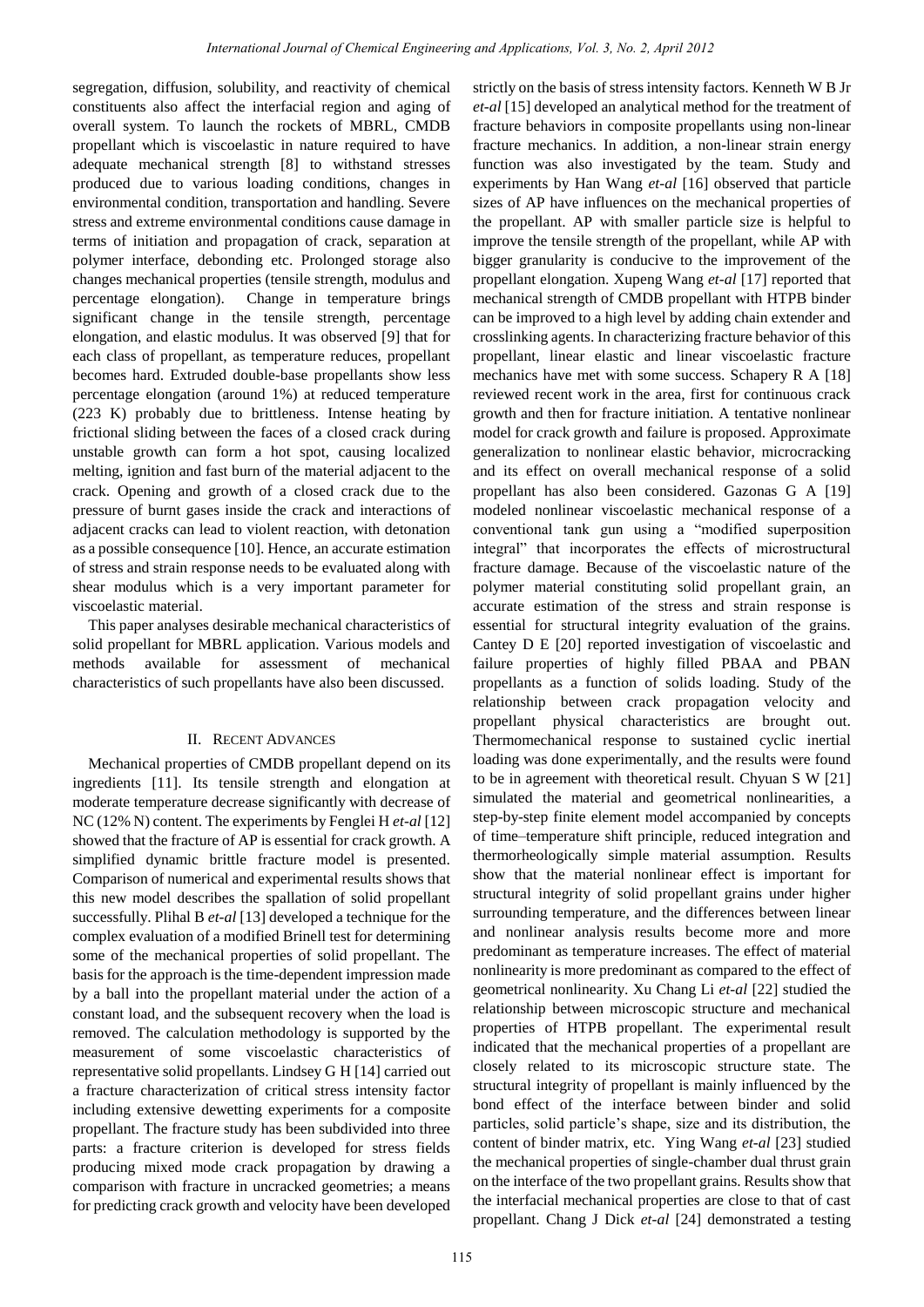segregation, diffusion, solubility, and reactivity of chemical constituents also affect the interfacial region and aging of overall system. To launch the rockets of MBRL, CMDB propellant which is viscoelastic in nature required to have adequate mechanical strength [8] to withstand stresses produced due to various loading conditions, changes in environmental condition, transportation and handling. Severe stress and extreme environmental conditions cause damage in terms of initiation and propagation of crack, separation at polymer interface, debonding etc. Prolonged storage also changes mechanical properties (tensile strength, modulus and percentage elongation). Change in temperature brings significant change in the tensile strength, percentage elongation, and elastic modulus. It was observed [9] that for each class of propellant, as temperature reduces, propellant becomes hard. Extruded double-base propellants show less percentage elongation (around 1%) at reduced temperature (223 K) probably due to brittleness. Intense heating by frictional sliding between the faces of a closed crack during unstable growth can form a hot spot, causing localized melting, ignition and fast burn of the material adjacent to the crack. Opening and growth of a closed crack due to the pressure of burnt gases inside the crack and interactions of adjacent cracks can lead to violent reaction, with detonation as a possible consequence [10]. Hence, an accurate estimation of stress and strain response needs to be evaluated along with shear modulus which is a very important parameter for viscoelastic material.

This paper analyses desirable mechanical characteristics of solid propellant for MBRL application. Various models and methods available for assessment of mechanical characteristics of such propellants have also been discussed.

# II. RECENT ADVANCES

Mechanical properties of CMDB propellant depend on its ingredients [11]. Its tensile strength and elongation at moderate temperature decrease significantly with decrease of NC (12% N) content. The experiments by Fenglei H *et-al* [12] showed that the fracture of AP is essential for crack growth. A simplified dynamic brittle fracture model is presented. Comparison of numerical and experimental results shows that this new model describes the spallation of solid propellant successfully. Plihal B *et-al* [13] developed a technique for the complex evaluation of a modified Brinell test for determining some of the mechanical properties of solid propellant. The basis for the approach is the time-dependent impression made by a ball into the propellant material under the action of a constant load, and the subsequent recovery when the load is removed. The calculation methodology is supported by the measurement of some viscoelastic characteristics of representative solid propellants. Lindsey G H [14] carried out a fracture characterization of critical stress intensity factor including extensive dewetting experiments for a composite propellant. The fracture study has been subdivided into three parts: a fracture criterion is developed for stress fields producing mixed mode crack propagation by drawing a comparison with fracture in uncracked geometries; a means for predicting crack growth and velocity have been developed

*et-al* [15] developed an analytical method for the treatment of fracture behaviors in composite propellants using non-linear fracture mechanics. In addition, a non-linear strain energy function was also investigated by the team. Study and experiments by Han Wang *et-al* [16] observed that particle sizes of AP have influences on the mechanical properties of the propellant. AP with smaller particle size is helpful to improve the tensile strength of the propellant, while AP with bigger granularity is conducive to the improvement of the propellant elongation. Xupeng Wang *et-al* [17] reported that mechanical strength of CMDB propellant with HTPB binder can be improved to a high level by adding chain extender and crosslinking agents. In characterizing fracture behavior of this propellant, linear elastic and linear viscoelastic fracture mechanics have met with some success. Schapery R A [18] reviewed recent work in the area, first for continuous crack growth and then for fracture initiation. A tentative nonlinear model for crack growth and failure is proposed. Approximate generalization to nonlinear elastic behavior, microcracking and its effect on overall mechanical response of a solid propellant has also been considered. Gazonas G A [19] modeled nonlinear viscoelastic mechanical response of a conventional tank gun using a "modified superposition integral" that incorporates the effects of microstructural fracture damage. Because of the viscoelastic nature of the polymer material constituting solid propellant grain, an accurate estimation of the stress and strain response is essential for structural integrity evaluation of the grains. Cantey D E [20] reported investigation of viscoelastic and failure properties of highly filled PBAA and PBAN propellants as a function of solids loading. Study of the relationship between crack propagation velocity and propellant physical characteristics are brought out. Thermomechanical response to sustained cyclic inertial loading was done experimentally, and the results were found to be in agreement with theoretical result. Chyuan S W [21] simulated the material and geometrical nonlinearities, a step-by-step finite element model accompanied by concepts of time–temperature shift principle, reduced integration and thermorheologically simple material assumption. Results show that the material nonlinear effect is important for structural integrity of solid propellant grains under higher surrounding temperature, and the differences between linear and nonlinear analysis results become more and more predominant as temperature increases. The effect of material nonlinearity is more predominant as compared to the effect of geometrical nonlinearity. Xu Chang Li *et-al* [22] studied the relationship between microscopic structure and mechanical properties of HTPB propellant. The experimental result indicated that the mechanical properties of a propellant are closely related to its microscopic structure state. The structural integrity of propellant is mainly influenced by the bond effect of the interface between binder and solid particles, solid particle"s shape, size and its distribution, the content of binder matrix, etc. Ying Wang *et-al* [23] studied the mechanical properties of single-chamber dual thrust grain on the interface of the two propellant grains. Results show that the interfacial mechanical properties are close to that of cast propellant. Chang J Dick *et-al* [24] demonstrated a testing Rearnstrained.Farmel of Chemical Engineering and Applications, Vol. 3, No. 2, April 2013<br>
1. solutility and reactivity of Chemical Entity of Chemical Entity and Chemical Entity and Chemical Entity and Chemical Entity and E

strictly on the basis of stress intensity factors. Kenneth W B Jr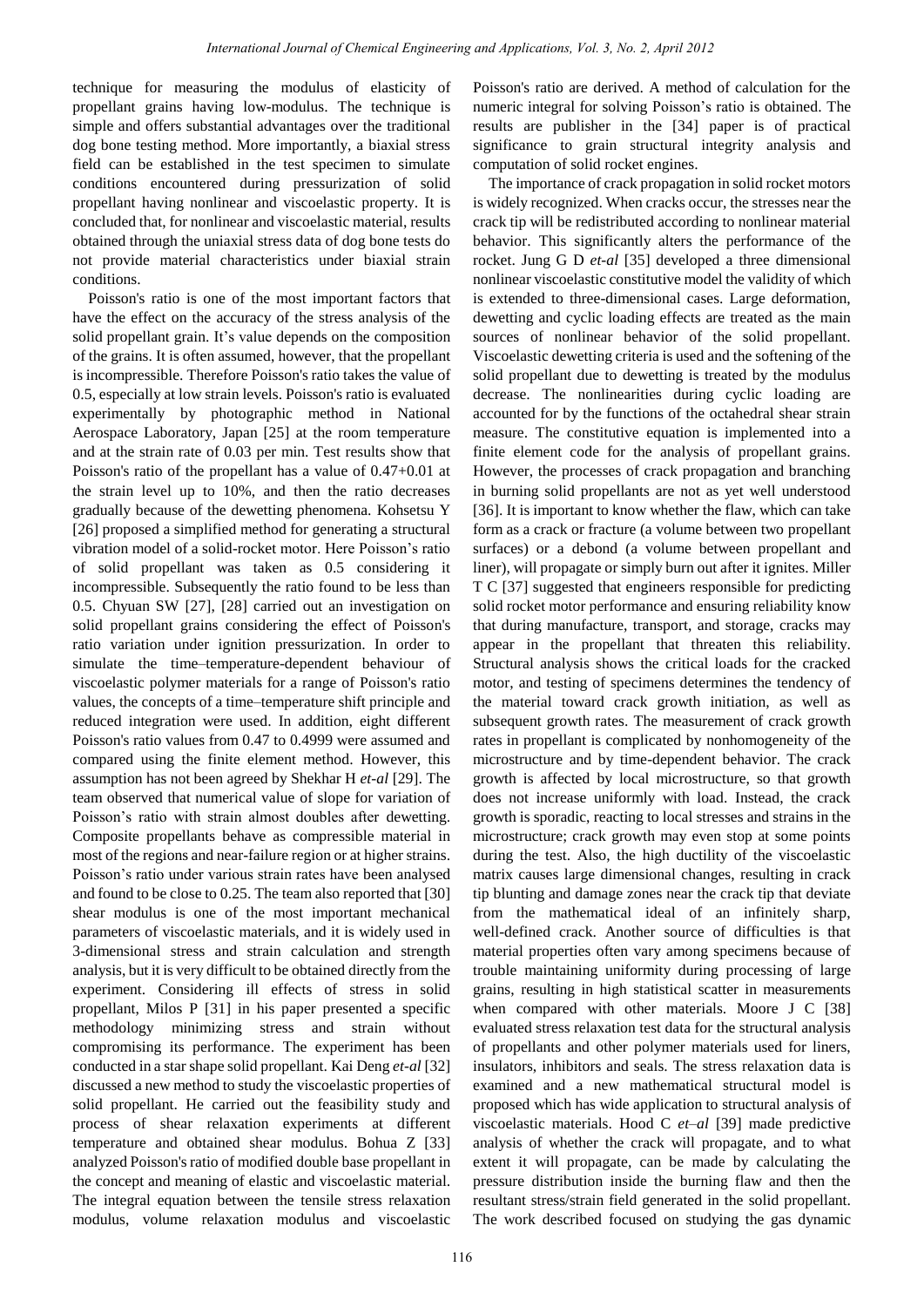technique for measuring the modulus of elasticity of propellant grains having low-modulus. The technique is simple and offers substantial advantages over the traditional dog bone testing method. More importantly, a biaxial stress field can be established in the test specimen to simulate conditions encountered during pressurization of solid propellant having nonlinear and viscoelastic property. It is concluded that, for nonlinear and viscoelastic material, results obtained through the uniaxial stress data of dog bone tests do not provide material characteristics under biaxial strain conditions.

Poisson's ratio is one of the most important factors that have the effect on the accuracy of the stress analysis of the solid propellant grain. It's value depends on the composition of the grains. It is often assumed, however, that the propellant is incompressible. Therefore Poisson's ratio takes the value of 0.5, especially at low strain levels. Poisson's ratio is evaluated experimentally by photographic method in National Aerospace Laboratory, Japan [25] at the room temperature and at the strain rate of 0.03 per min. Test results show that Poisson's ratio of the propellant has a value of 0.47+0.01 at the strain level up to 10%, and then the ratio decreases gradually because of the dewetting phenomena. Kohsetsu Y [26] proposed a simplified method for generating a structural vibration model of a solid-rocket motor. Here Poisson"s ratio of solid propellant was taken as 0.5 considering it incompressible. Subsequently the ratio found to be less than 0.5. Chyuan SW [27], [28] carried out an investigation on solid propellant grains considering the effect of Poisson's ratio variation under ignition pressurization. In order to simulate the time–temperature-dependent behaviour of viscoelastic polymer materials for a range of Poisson's ratio values, the concepts of a time–temperature shift principle and reduced integration were used. In addition, eight different Poisson's ratio values from 0.47 to 0.4999 were assumed and compared using the finite element method. However, this assumption has not been agreed by Shekhar H *et-al* [29]. The team observed that numerical value of slope for variation of Poisson"s ratio with strain almost doubles after dewetting. Composite propellants behave as compressible material in most of the regions and near-failure region or at higher strains. Poisson"s ratio under various strain rates have been analysed and found to be close to 0.25. The team also reported that [30] shear modulus is one of the most important mechanical parameters of viscoelastic materials, and it is widely used in 3-dimensional stress and strain calculation and strength analysis, but it is very difficult to be obtained directly from the experiment. Considering ill effects of stress in solid propellant, Milos P [31] in his paper presented a specific methodology minimizing stress and strain without compromising its performance. The experiment has been conducted in a star shape solid propellant. Kai Deng *et-al* [32] discussed a new method to study the viscoelastic properties of solid propellant. He carried out the feasibility study and process of shear relaxation experiments at different temperature and obtained shear modulus. Bohua Z [33] analyzed Poisson's ratio of modified double base propellant in the concept and meaning of elastic and viscoelastic material. The integral equation between the tensile stress relaxation modulus, volume relaxation modulus and viscoelastic

Poisson's ratio are derived. A method of calculation for the numeric integral for solving Poisson's ratio is obtained. The results are publisher in the [34] paper is of practical significance to grain structural integrity analysis and computation of solid rocket engines.

The importance of crack propagation in solid rocket motors is widely recognized. When cracks occur, the stresses near the crack tip will be redistributed according to nonlinear material behavior. This significantly alters the performance of the rocket. Jung G D *et-al* [35] developed a three dimensional nonlinear viscoelastic constitutive model the validity of which is extended to three-dimensional cases. Large deformation, dewetting and cyclic loading effects are treated as the main sources of nonlinear behavior of the solid propellant. Viscoelastic dewetting criteria is used and the softening of the solid propellant due to dewetting is treated by the modulus decrease. The nonlinearities during cyclic loading are accounted for by the functions of the octahedral shear strain measure. The constitutive equation is implemented into a finite element code for the analysis of propellant grains. However, the processes of crack propagation and branching in burning solid propellants are not as yet well understood [36]. It is important to know whether the flaw, which can take form as a crack or fracture (a volume between two propellant surfaces) or a debond (a volume between propellant and liner), will propagate or simply burn out after it ignites. Miller T C [37] suggested that engineers responsible for predicting solid rocket motor performance and ensuring reliability know that during manufacture, transport, and storage, cracks may appear in the propellant that threaten this reliability. Structural analysis shows the critical loads for the cracked motor, and testing of specimens determines the tendency of the material toward crack growth initiation, as well as subsequent growth rates. The measurement of crack growth rates in propellant is complicated by nonhomogeneity of the microstructure and by time-dependent behavior. The crack growth is affected by local microstructure, so that growth does not increase uniformly with load. Instead, the crack growth is sporadic, reacting to local stresses and strains in the microstructure; crack growth may even stop at some points during the test. Also, the high ductility of the viscoelastic matrix causes large dimensional changes, resulting in crack tip blunting and damage zones near the crack tip that deviate from the mathematical ideal of an infinitely sharp, well-defined crack. Another source of difficulties is that material properties often vary among specimens because of trouble maintaining uniformity during processing of large grains, resulting in high statistical scatter in measurements when compared with other materials. Moore J C [38] evaluated stress relaxation test data for the structural analysis of propellants and other polymer materials used for liners, insulators, inhibitors and seals. The stress relaxation data is examined and a new mathematical structural model is proposed which has wide application to structural analysis of viscoelastic materials. Hood C *et–al* [39] made predictive analysis of whether the crack will propagate, and to what extent it will propagate, can be made by calculating the pressure distribution inside the burning flaw and then the resultant stress/strain field generated in the solid propellant. The work described focused on studying the gas dynamic Remational Journal of Gleancol Hagmetrig and Applections, Vol. 3, No. 2, April 2013<br>
uring the modulas of classical of Chemical Engineering and Applections, Co. 2, April 2013<br>
virg the modulas of classical Feasibon Technic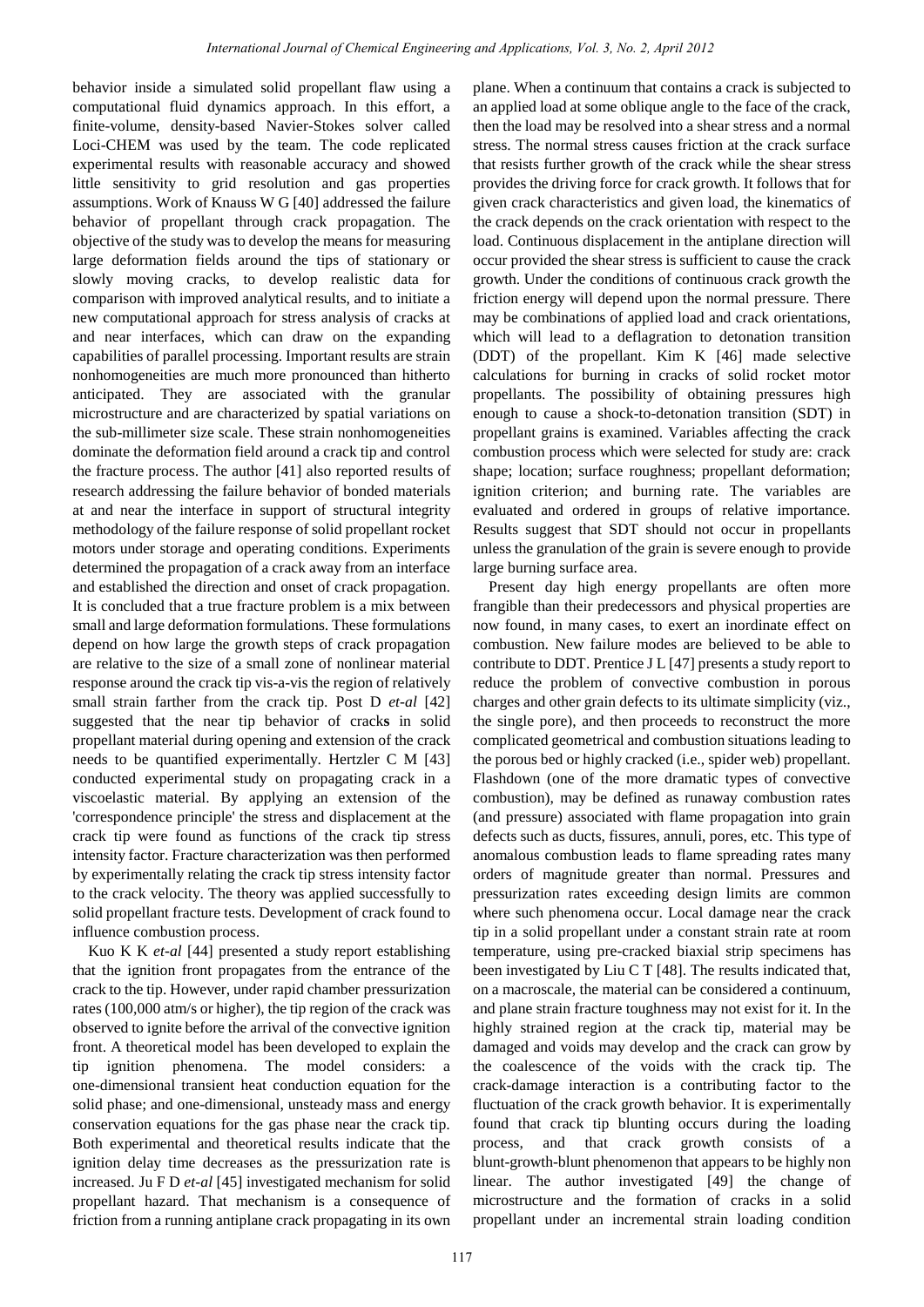behavior inside a simulated solid propellant flaw using a computational fluid dynamics approach. In this effort, a finite-volume, density-based Navier-Stokes solver called Loci-CHEM was used by the team. The code replicated experimental results with reasonable accuracy and showed little sensitivity to grid resolution and gas properties assumptions. Work of Knauss W G [40] addressed the failure behavior of propellant through crack propagation. The objective of the study was to develop the means for measuring large deformation fields around the tips of stationary or slowly moving cracks, to develop realistic data for comparison with improved analytical results, and to initiate a new computational approach for stress analysis of cracks at and near interfaces, which can draw on the expanding capabilities of parallel processing. Important results are strain nonhomogeneities are much more pronounced than hitherto anticipated. They are associated with the granular microstructure and are characterized by spatial variations on the sub-millimeter size scale. These strain nonhomogeneities dominate the deformation field around a crack tip and control the fracture process. The author [41] also reported results of research addressing the failure behavior of bonded materials at and near the interface in support of structural integrity methodology of the failure response of solid propellant rocket motors under storage and operating conditions. Experiments determined the propagation of a crack away from an interface and established the direction and onset of crack propagation. It is concluded that a true fracture problem is a mix between small and large deformation formulations. These formulations depend on how large the growth steps of crack propagation are relative to the size of a small zone of nonlinear material response around the crack tip vis-a-vis the region of relatively small strain farther from the crack tip. Post D *et-al* [42] suggested that the near tip behavior of crack**s** in solid propellant material during opening and extension of the crack needs to be quantified experimentally. Hertzler C M [43] conducted experimental study on propagating crack in a viscoelastic material. By applying an extension of the 'correspondence principle' the stress and displacement at the crack tip were found as functions of the crack tip stress intensity factor. Fracture characterization was then performed by experimentally relating the crack tip stress intensity factor to the crack velocity. The theory was applied successfully to solid propellant fracture tests. Development of crack found to influence combustion process. Remetricianal Journal of Chemical Engineering and Applications, Vol. 3, No. 2, April 2012<br>
International subspace of the constitutions of the constitutions of the constitutions of the constitutions of the constitutions of

Kuo K K *et-al* [44] presented a study report establishing that the ignition front propagates from the entrance of the crack to the tip. However, under rapid chamber pressurization rates (100,000 atm/s or higher), the tip region of the crack was observed to ignite before the arrival of the convective ignition front. A theoretical model has been developed to explain the tip ignition phenomena. The model considers: a one-dimensional transient heat conduction equation for the solid phase; and one-dimensional, unsteady mass and energy conservation equations for the gas phase near the crack tip. Both experimental and theoretical results indicate that the ignition delay time decreases as the pressurization rate is increased. Ju F D *et-al* [45] investigated mechanism for solid propellant hazard. That mechanism is a consequence of friction from a running antiplane crack propagating in its own plane. When a continuum that contains a crack is subjected to an applied load at some oblique angle to the face of the crack, then the load may be resolved into a shear stress and a normal stress. The normal stress causes friction at the crack surface that resists further growth of the crack while the shear stress provides the driving force for crack growth. It follows that for given crack characteristics and given load, the kinematics of the crack depends on the crack orientation with respect to the load. Continuous displacement in the antiplane direction will occur provided the shear stress is sufficient to cause the crack growth. Under the conditions of continuous crack growth the friction energy will depend upon the normal pressure. There may be combinations of applied load and crack orientations, which will lead to a deflagration to detonation transition (DDT) of the propellant. Kim K [46] made selective calculations for burning in cracks of solid rocket motor propellants. The possibility of obtaining pressures high enough to cause a shock-to-detonation transition (SDT) in propellant grains is examined. Variables affecting the crack combustion process which were selected for study are: crack shape; location; surface roughness; propellant deformation; ignition criterion; and burning rate. The variables are evaluated and ordered in groups of relative importance. Results suggest that SDT should not occur in propellants unless the granulation of the grain is severe enough to provide large burning surface area.

Present day high energy propellants are often more frangible than their predecessors and physical properties are now found, in many cases, to exert an inordinate effect on combustion. New failure modes are believed to be able to contribute to DDT. Prentice J L [47] presents a study report to reduce the problem of convective combustion in porous charges and other grain defects to its ultimate simplicity (viz., the single pore), and then proceeds to reconstruct the more complicated geometrical and combustion situations leading to the porous bed or highly cracked (i.e., spider web) propellant. Flashdown (one of the more dramatic types of convective combustion), may be defined as runaway combustion rates (and pressure) associated with flame propagation into grain defects such as ducts, fissures, annuli, pores, etc. This type of anomalous combustion leads to flame spreading rates many orders of magnitude greater than normal. Pressures and pressurization rates exceeding design limits are common where such phenomena occur. Local damage near the crack tip in a solid propellant under a constant strain rate at room temperature, using pre-cracked biaxial strip specimens has been investigated by Liu C T [48]. The results indicated that, on a macroscale, the material can be considered a continuum, and plane strain fracture toughness may not exist for it. In the highly strained region at the crack tip, material may be damaged and voids may develop and the crack can grow by the coalescence of the voids with the crack tip. The crack-damage interaction is a contributing factor to the fluctuation of the crack growth behavior. It is experimentally found that crack tip blunting occurs during the loading process, and that crack growth consists of a blunt-growth-blunt phenomenon that appears to be highly non linear. The author investigated [49] the change of microstructure and the formation of cracks in a solid propellant under an incremental strain loading condition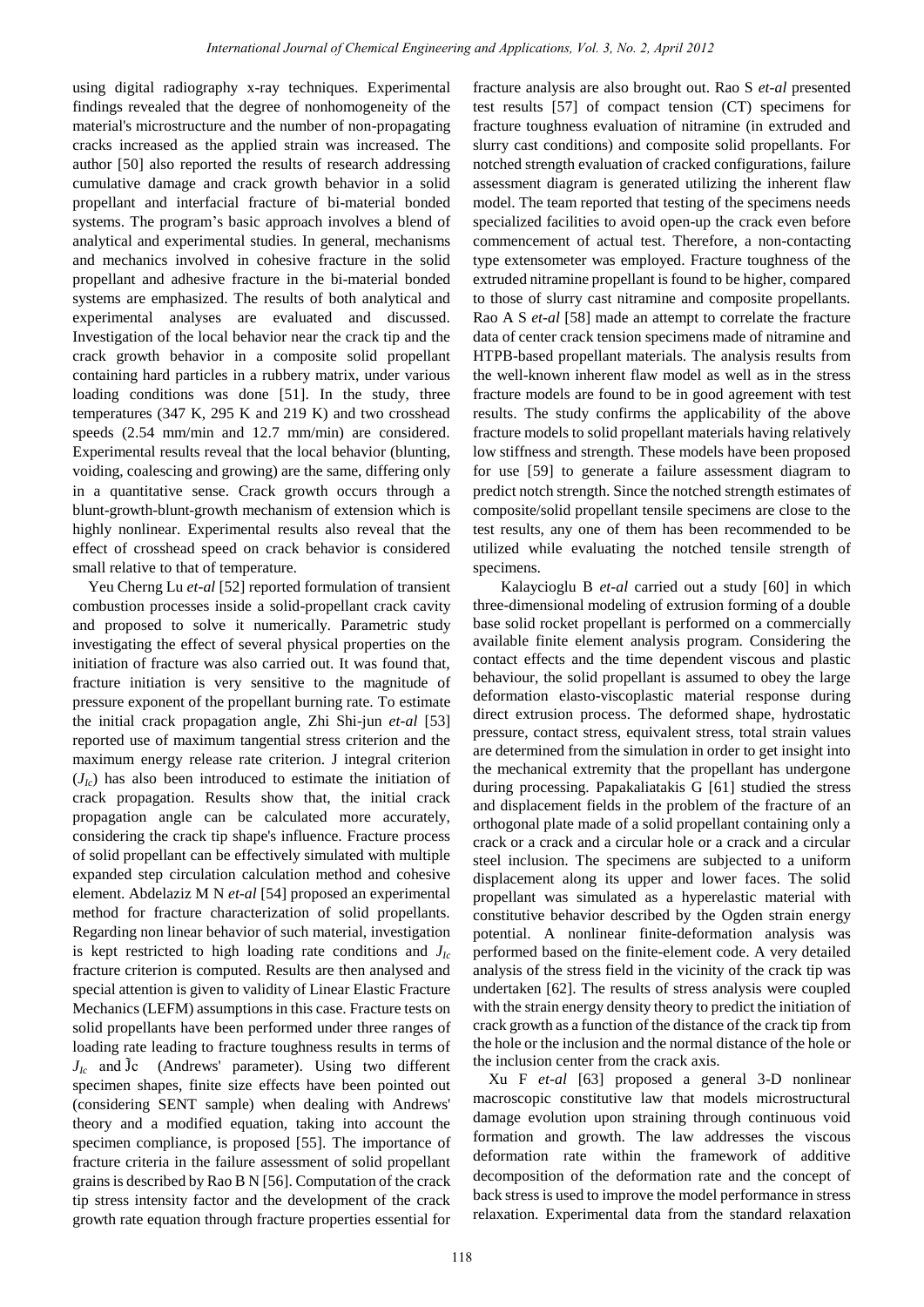using digital radiography x-ray techniques. Experimental findings revealed that the degree of nonhomogeneity of the material's microstructure and the number of non-propagating cracks increased as the applied strain was increased. The author [50] also reported the results of research addressing cumulative damage and crack growth behavior in a solid propellant and interfacial fracture of bi-material bonded systems. The program"s basic approach involves a blend of analytical and experimental studies. In general, mechanisms and mechanics involved in cohesive fracture in the solid propellant and adhesive fracture in the bi-material bonded systems are emphasized. The results of both analytical and experimental analyses are evaluated and discussed. Investigation of the local behavior near the crack tip and the crack growth behavior in a composite solid propellant containing hard particles in a rubbery matrix, under various loading conditions was done [51]. In the study, three temperatures (347 K, 295 K and 219 K) and two crosshead speeds (2.54 mm/min and 12.7 mm/min) are considered. Experimental results reveal that the local behavior (blunting, voiding, coalescing and growing) are the same, differing only in a quantitative sense. Crack growth occurs through a blunt-growth-blunt-growth mechanism of extension which is highly nonlinear. Experimental results also reveal that the effect of crosshead speed on crack behavior is considered small relative to that of temperature.

Yeu Cherng Lu *et-al* [52] reported formulation of transient combustion processes inside a solid-propellant crack cavity and proposed to solve it numerically. Parametric study investigating the effect of several physical properties on the initiation of fracture was also carried out. It was found that, fracture initiation is very sensitive to the magnitude of pressure exponent of the propellant burning rate. To estimate the initial crack propagation angle, Zhi Shi-jun *et-al* [53] reported use of maximum tangential stress criterion and the maximum energy release rate criterion. J integral criterion  $(J<sub>Ic</sub>)$  has also been introduced to estimate the initiation of crack propagation. Results show that, the initial crack propagation angle can be calculated more accurately, considering the crack tip shape's influence. Fracture process of solid propellant can be effectively simulated with multiple expanded step circulation calculation method and cohesive element. Abdelaziz M N *et-al* [54] proposed an experimental method for fracture characterization of solid propellants. Regarding non linear behavior of such material, investigation is kept restricted to high loading rate conditions and  $J<sub>Ic</sub>$ fracture criterion is computed. Results are then analysed and special attention is given to validity of Linear Elastic Fracture Mechanics (LEFM) assumptions in this case. Fracture tests on solid propellants have been performed under three ranges of loading rate leading to fracture toughness results in terms of  $J<sub>lc</sub>$  and  $\tilde{J}c$  (Andrews' parameter). Using two different specimen shapes, finite size effects have been pointed out (considering SENT sample) when dealing with Andrews' theory and a modified equation, taking into account the specimen compliance, is proposed [55]. The importance of fracture criteria in the failure assessment of solid propellant grains is described by Rao B N [56]. Computation of the crack tip stress intensity factor and the development of the crack growth rate equation through fracture properties essential for Rearnational Journal of Gleanco Hragmetrics and Applecetions, Vol. 3, No. 2, April 2012<br>1989 yers (Scheinces Reporting that the sea algebra and SSI and Source in the sea algebra and the sea algebra and SSI and Contents and

fracture analysis are also brought out. Rao S *et-al* presented test results [57] of compact tension (CT) specimens for fracture toughness evaluation of nitramine (in extruded and slurry cast conditions) and composite solid propellants. For notched strength evaluation of cracked configurations, failure assessment diagram is generated utilizing the inherent flaw model. The team reported that testing of the specimens needs specialized facilities to avoid open-up the crack even before commencement of actual test. Therefore, a non-contacting type extensometer was employed. Fracture toughness of the extruded nitramine propellant is found to be higher, compared to those of slurry cast nitramine and composite propellants. Rao A S *et-al* [58] made an attempt to correlate the fracture data of center crack tension specimens made of nitramine and HTPB-based propellant materials. The analysis results from the well-known inherent flaw model as well as in the stress fracture models are found to be in good agreement with test results. The study confirms the applicability of the above fracture models to solid propellant materials having relatively low stiffness and strength. These models have been proposed for use [59] to generate a failure assessment diagram to predict notch strength. Since the notched strength estimates of composite/solid propellant tensile specimens are close to the test results, any one of them has been recommended to be utilized while evaluating the notched tensile strength of specimens.

Kalaycioglu B *et-al* carried out a study [60] in which three-dimensional modeling of extrusion forming of a double base solid rocket propellant is performed on a commercially available finite element analysis program. Considering the contact effects and the time dependent viscous and plastic behaviour, the solid propellant is assumed to obey the large deformation elasto-viscoplastic material response during direct extrusion process. The deformed shape, hydrostatic pressure, contact stress, equivalent stress, total strain values are determined from the simulation in order to get insight into the mechanical extremity that the propellant has undergone during processing. Papakaliatakis G [61] studied the stress and displacement fields in the problem of the fracture of an orthogonal plate made of a solid propellant containing only a crack or a crack and a circular hole or a crack and a circular steel inclusion. The specimens are subjected to a uniform displacement along its upper and lower faces. The solid propellant was simulated as a hyperelastic material with constitutive behavior described by the Ogden strain energy potential. A nonlinear finite-deformation analysis was performed based on the finite-element code. A very detailed analysis of the stress field in the vicinity of the crack tip was undertaken [62]. The results of stress analysis were coupled with the strain energy density theory to predict the initiation of crack growth as a function of the distance of the crack tip from the hole or the inclusion and the normal distance of the hole or the inclusion center from the crack axis.

Xu F *et-al* [63] proposed a general 3-D nonlinear macroscopic constitutive law that models microstructural damage evolution upon straining through continuous void formation and growth. The law addresses the viscous deformation rate within the framework of additive decomposition of the deformation rate and the concept of back stress is used to improve the model performance in stress relaxation. Experimental data from the standard relaxation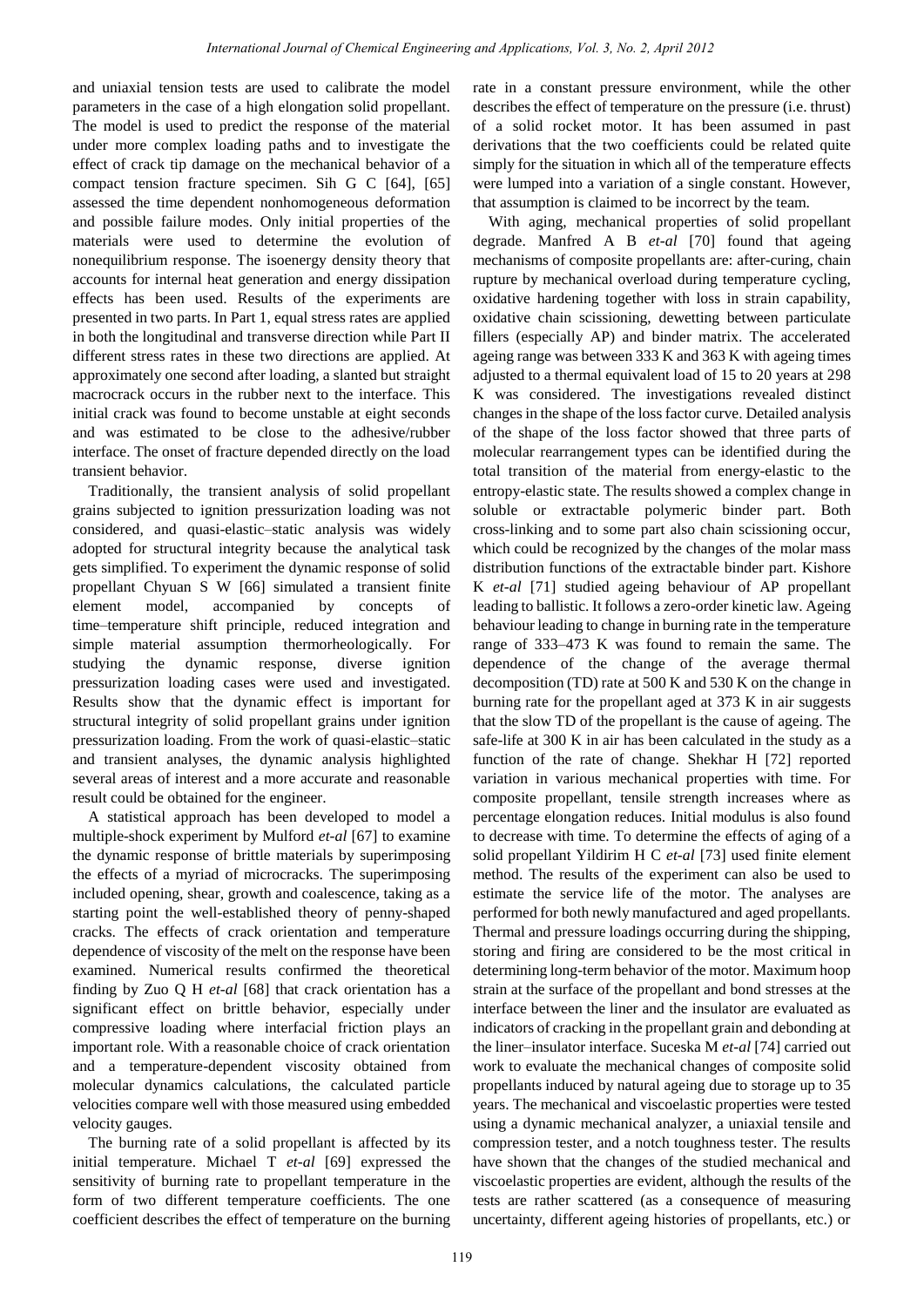and uniaxial tension tests are used to calibrate the model parameters in the case of a high elongation solid propellant. The model is used to predict the response of the material under more complex loading paths and to investigate the effect of crack tip damage on the mechanical behavior of a compact tension fracture specimen. Sih G C [64], [65] assessed the time dependent nonhomogeneous deformation and possible failure modes. Only initial properties of the materials were used to determine the evolution of nonequilibrium response. The isoenergy density theory that accounts for internal heat generation and energy dissipation effects has been used. Results of the experiments are presented in two parts. In Part 1, equal stress rates are applied in both the longitudinal and transverse direction while Part II different stress rates in these two directions are applied. At approximately one second after loading, a slanted but straight macrocrack occurs in the rubber next to the interface. This initial crack was found to become unstable at eight seconds and was estimated to be close to the adhesive/rubber interface. The onset of fracture depended directly on the load transient behavior.

Traditionally, the transient analysis of solid propellant grains subjected to ignition pressurization loading was not considered, and quasi-elastic–static analysis was widely adopted for structural integrity because the analytical task gets simplified. To experiment the dynamic response of solid propellant Chyuan S W [66] simulated a transient finite element model, accompanied by concepts of time–temperature shift principle, reduced integration and simple material assumption thermorheologically. For studying the dynamic response, diverse ignition pressurization loading cases were used and investigated. Results show that the dynamic effect is important for structural integrity of solid propellant grains under ignition pressurization loading. From the work of quasi-elastic–static and transient analyses, the dynamic analysis highlighted several areas of interest and a more accurate and reasonable result could be obtained for the engineer.

A statistical approach has been developed to model a multiple-shock experiment by Mulford *et-al* [67] to examine the dynamic response of brittle materials by superimposing the effects of a myriad of microcracks. The superimposing included opening, shear, growth and coalescence, taking as a starting point the well-established theory of penny-shaped cracks. The effects of crack orientation and temperature dependence of viscosity of the melt on the response have been examined. Numerical results confirmed the theoretical finding by Zuo Q H *et-al* [68] that crack orientation has a significant effect on brittle behavior, especially under compressive loading where interfacial friction plays an important role. With a reasonable choice of crack orientation and a temperature-dependent viscosity obtained from molecular dynamics calculations, the calculated particle velocities compare well with those measured using embedded velocity gauges.

The burning rate of a solid propellant is affected by its initial temperature. Michael T *et-al* [69] expressed the sensitivity of burning rate to propellant temperature in the form of two different temperature coefficients. The one coefficient describes the effect of temperature on the burning rate in a constant pressure environment, while the other describes the effect of temperature on the pressure (i.e. thrust) of a solid rocket motor. It has been assumed in past derivations that the two coefficients could be related quite simply for the situation in which all of the temperature effects were lumped into a variation of a single constant. However, that assumption is claimed to be incorrect by the team.

With aging, mechanical properties of solid propellant degrade. Manfred A B *et-al* [70] found that ageing mechanisms of composite propellants are: after-curing, chain rupture by mechanical overload during temperature cycling, oxidative hardening together with loss in strain capability, oxidative chain scissioning, dewetting between particulate fillers (especially AP) and binder matrix. The accelerated ageing range was between 333 K and 363 K with ageing times adjusted to a thermal equivalent load of 15 to 20 years at 298 K was considered. The investigations revealed distinct changes in the shape of the loss factor curve. Detailed analysis of the shape of the loss factor showed that three parts of molecular rearrangement types can be identified during the total transition of the material from energy-elastic to the entropy-elastic state. The results showed a complex change in soluble or extractable polymeric binder part. Both cross-linking and to some part also chain scissioning occur, which could be recognized by the changes of the molar mass distribution functions of the extractable binder part. Kishore K *et-al* [71] studied ageing behaviour of AP propellant leading to ballistic. It follows a zero-order kinetic law. Ageing behaviour leading to change in burning rate in the temperature range of 333–473 K was found to remain the same. The dependence of the change of the average thermal decomposition (TD) rate at 500 K and 530 K on the change in burning rate for the propellant aged at 373 K in air suggests that the slow TD of the propellant is the cause of ageing. The safe-life at 300 K in air has been calculated in the study as a function of the rate of change. Shekhar H [72] reported variation in various mechanical properties with time. For composite propellant, tensile strength increases where as percentage elongation reduces. Initial modulus is also found to decrease with time. To determine the effects of aging of a solid propellant Yildirim H C *et-al* [73] used finite element method. The results of the experiment can also be used to estimate the service life of the motor. The analyses are performed for both newly manufactured and aged propellants. Thermal and pressure loadings occurring during the shipping, storing and firing are considered to be the most critical in determining long-term behavior of the motor. Maximum hoop strain at the surface of the propellant and bond stresses at the interface between the liner and the insulator are evaluated as indicators of cracking in the propellant grain and debonding at the liner–insulator interface. Suceska M *et-al* [74] carried out work to evaluate the mechanical changes of composite solid propellants induced by natural ageing due to storage up to 35 years. The mechanical and viscoelastic properties were tested using a dynamic mechanical analyzer, a uniaxial tensile and compression tester, and a notch toughness tester. The results have shown that the changes of the studied mechanical and viscoelastic properties are evident, although the results of the tests are rather scattered (as a consequence of measuring uncertainty, different ageing histories of propellants, etc.) or Rearnational Journal of Gleanco II ageneting and Applications, Vol. 2, No. 2, April 2013<br>
test are used to silicate the model rate in a constant presentations and the constant of the constant of Chemical Engineering and Ap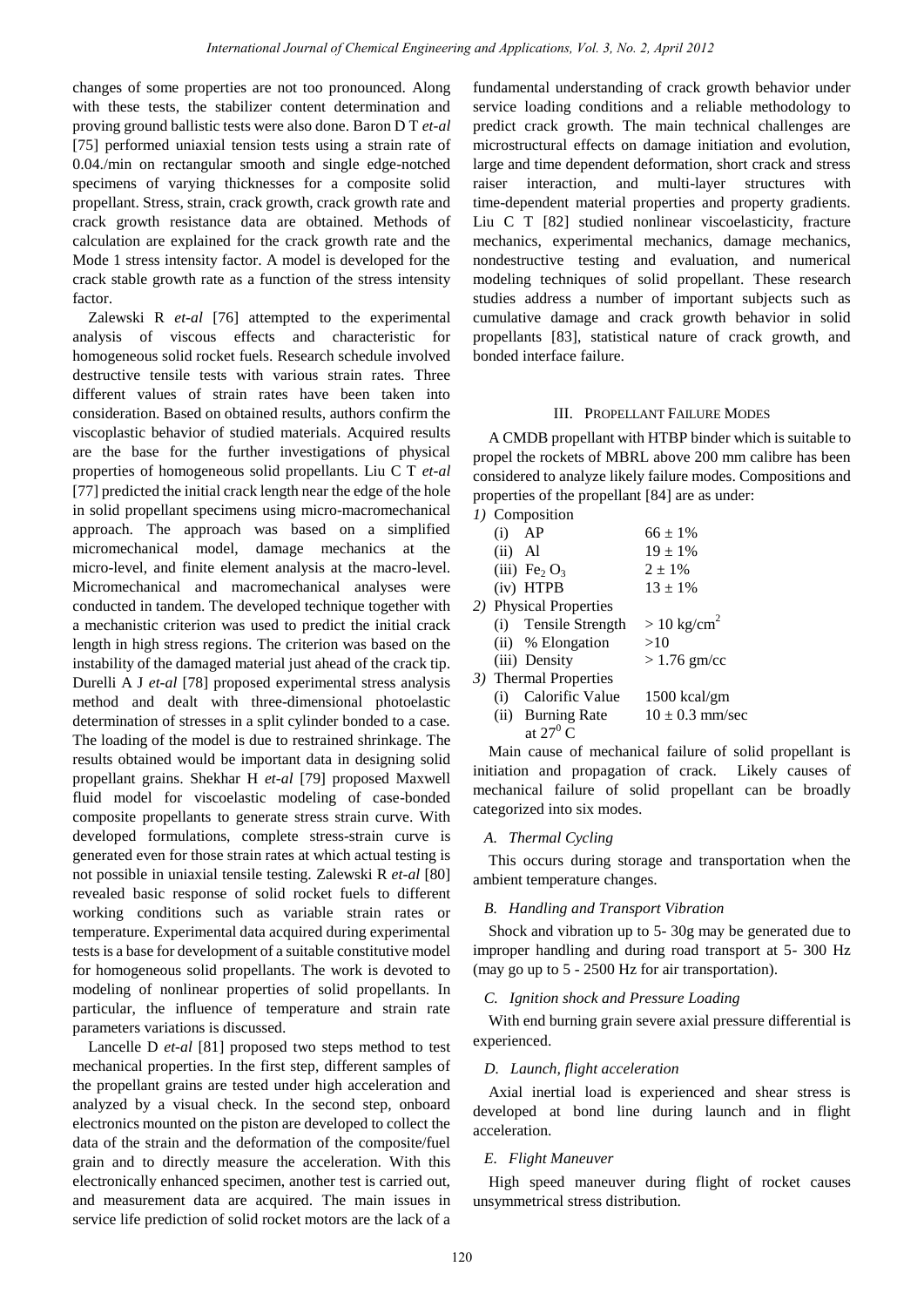changes of some properties are not too pronounced. Along with these tests, the stabilizer content determination and proving ground ballistic tests were also done. Baron D T *et-al* [75] performed uniaxial tension tests using a strain rate of 0.04./min on rectangular smooth and single edge-notched specimens of varying thicknesses for a composite solid propellant. Stress, strain, crack growth, crack growth rate and crack growth resistance data are obtained. Methods of calculation are explained for the crack growth rate and the Mode 1 stress intensity factor. A model is developed for the crack stable growth rate as a function of the stress intensity factor.

Zalewski R *et-al* [76] attempted to the experimental analysis of viscous effects and characteristic for homogeneous solid rocket fuels. Research schedule involved destructive tensile tests with various strain rates. Three different values of strain rates have been taken into consideration. Based on obtained results, authors confirm the viscoplastic behavior of studied materials. Acquired results are the base for the further investigations of physical properties of homogeneous solid propellants. Liu C T *et-al* [77] predicted the initial crack length near the edge of the hole in solid propellant specimens using micro-macromechanical approach. The approach was based on a simplified micromechanical model, damage mechanics at the micro-level, and finite element analysis at the macro-level. Micromechanical and macromechanical analyses were conducted in tandem. The developed technique together with a mechanistic criterion was used to predict the initial crack length in high stress regions. The criterion was based on the instability of the damaged material just ahead of the crack tip. Durelli A J *et-al* [78] proposed experimental stress analysis method and dealt with three-dimensional photoelastic determination of stresses in a split cylinder bonded to a case. The loading of the model is due to restrained shrinkage. The results obtained would be important data in designing solid propellant grains. Shekhar H *et-al* [79] proposed Maxwell fluid model for viscoelastic modeling of case-bonded composite propellants to generate stress strain curve. With developed formulations, complete stress-strain curve is generated even for those strain rates at which actual testing is not possible in uniaxial tensile testing. Zalewski R *et-al* [80] revealed basic response of solid rocket fuels to different working conditions such as variable strain rates or temperature. Experimental data acquired during experimental tests is a base for development of a suitable constitutive model for homogeneous solid propellants. The work is devoted to modeling of nonlinear properties of solid propellants. In particular, the influence of temperature and strain rate parameters variations is discussed. Remembers are to too protonional Journal of Chemical Chemical and the chemical and of concilent and the chemical chemical of concilent and the chemical of the chemical of the chemical engineering and Applications, Vol. 3,

Lancelle D *et-al* [81] proposed two steps method to test mechanical properties. In the first step, different samples of the propellant grains are tested under high acceleration and analyzed by a visual check. In the second step, onboard electronics mounted on the piston are developed to collect the data of the strain and the deformation of the composite/fuel grain and to directly measure the acceleration. With this electronically enhanced specimen, another test is carried out, and measurement data are acquired. The main issues in service life prediction of solid rocket motors are the lack of a fundamental understanding of crack growth behavior under service loading conditions and a reliable methodology to predict crack growth. The main technical challenges are microstructural effects on damage initiation and evolution, large and time dependent deformation, short crack and stress raiser interaction, and multi-layer structures with time-dependent material properties and property gradients. Liu C T [82] studied nonlinear viscoelasticity, fracture mechanics, experimental mechanics, damage mechanics, nondestructive testing and evaluation, and numerical modeling techniques of solid propellant. These research studies address a number of important subjects such as cumulative damage and crack growth behavior in solid propellants [83], statistical nature of crack growth, and bonded interface failure.

## III. PROPELLANT FAILURE MODES

A CMDB propellant with HTBP binder which is suitable to propel the rockets of MBRL above 200 mm calibre has been considered to analyze likely failure modes. Compositions and properties of the propellant [84] are as under:

| 1) Composition |                               |                        |  |
|----------------|-------------------------------|------------------------|--|
| $(i)$ AP       |                               | $66 + 1\%$             |  |
| $(ii)$ Al      |                               | $19 + 1\%$             |  |
|                | (iii) $\text{Fe}_2\text{O}_3$ | $2 \pm 1\%$            |  |
|                | $(iv)$ HTPB                   | $13 + 1\%$             |  |
|                | 2) Physical Properties        |                        |  |
|                | (i) Tensile Strength          | $> 10 \text{ kg/cm}^2$ |  |
|                | (ii) % Elongation             | >10                    |  |
|                | (iii) Density                 | $>1.76$ gm/cc          |  |
|                | 3) Thermal Properties         |                        |  |
|                | (i) Calorific Value           | $1500 \text{ kcal/gm}$ |  |
|                | (ii) Burning Rate             | $10 \pm 0.3$ mm/sec    |  |
|                | at $27^0$ C                   |                        |  |

Main cause of mechanical failure of solid propellant is initiation and propagation of crack. Likely causes of mechanical failure of solid propellant can be broadly categorized into six modes.

## *A. Thermal Cycling*

This occurs during storage and transportation when the ambient temperature changes.

## *B. Handling and Transport Vibration*

Shock and vibration up to 5- 30g may be generated due to improper handling and during road transport at 5- 300 Hz (may go up to 5 - 2500 Hz for air transportation).

## *C. Ignition shock and Pressure Loading*

With end burning grain severe axial pressure differential is experienced.

#### *D. Launch, flight acceleration*

Axial inertial load is experienced and shear stress is developed at bond line during launch and in flight acceleration.

# *E. Flight Maneuver*

High speed maneuver during flight of rocket causes unsymmetrical stress distribution.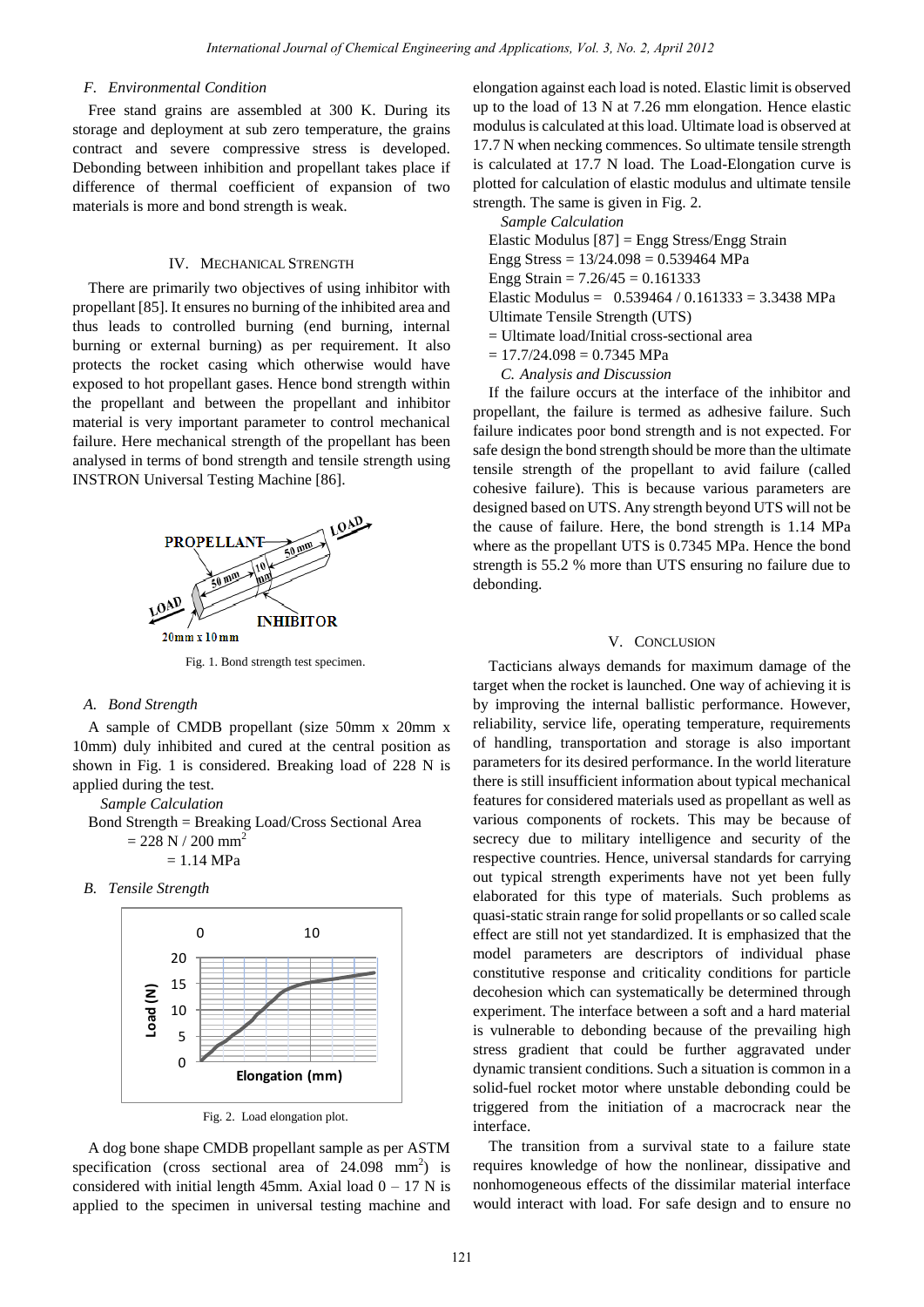## *F. Environmental Condition*

Free stand grains are assembled at 300 K. During its storage and deployment at sub zero temperature, the grains contract and severe compressive stress is developed. Debonding between inhibition and propellant takes place if difference of thermal coefficient of expansion of two materials is more and bond strength is weak.

# IV. MECHANICAL STRENGTH

There are primarily two objectives of using inhibitor with propellant [85]. It ensures no burning of the inhibited area and thus leads to controlled burning (end burning, internal burning or external burning) as per requirement. It also protects the rocket casing which otherwise would have exposed to hot propellant gases. Hence bond strength within the propellant and between the propellant and inhibitor material is very important parameter to control mechanical failure. Here mechanical strength of the propellant has been analysed in terms of bond strength and tensile strength using INSTRON Universal Testing Machine [86].



Fig. 1. Bond strength test specimen.

# *A. Bond Strength*

A sample of CMDB propellant (size 50mm x 20mm x 10mm) duly inhibited and cured at the central position as shown in Fig. 1 is considered. Breaking load of 228 N is applied during the test.

*Sample Calculation* 

Bond Strength = Breaking Load/Cross Sectional Area  $= 228$  N / 200 mm<sup>2</sup>

 $= 1.14$  MPa

*B. Tensile Strength* 



Fig. 2. Load elongation plot.

A dog bone shape CMDB propellant sample as per ASTM specification (cross sectional area of  $24.098$  mm<sup>2</sup>) is considered with initial length 45mm. Axial load  $0 - 17$  N is applied to the specimen in universal testing machine and

elongation against each load is noted. Elastic limit is observed up to the load of 13 N at 7.26 mm elongation. Hence elastic modulus is calculated at this load. Ultimate load is observed at 17.7 N when necking commences. So ultimate tensile strength is calculated at 17.7 N load. The Load-Elongation curve is plotted for calculation of elastic modulus and ultimate tensile strength. The same is given in Fig. 2.

*Sample Calculation* 

Elastic Modulus [87] = Engg Stress/Engg Strain Engg Stress =  $13/24.098 = 0.539464$  MPa

- Engg Strain =  $7.26/45 = 0.161333$
- Elastic Modulus =  $0.539464 / 0.161333 = 3.3438$  MPa
- Ultimate Tensile Strength (UTS)
- = Ultimate load/Initial cross-sectional area
- $= 17.7/24.098 = 0.7345$  MPa
	- *C. Analysis and Discussion*

If the failure occurs at the interface of the inhibitor and propellant, the failure is termed as adhesive failure. Such failure indicates poor bond strength and is not expected. For safe design the bond strength should be more than the ultimate tensile strength of the propellant to avid failure (called cohesive failure). This is because various parameters are designed based on UTS. Any strength beyond UTS will not be the cause of failure. Here, the bond strength is 1.14 MPa where as the propellant UTS is 0.7345 MPa. Hence the bond strength is 55.2 % more than UTS ensuring no failure due to debonding.

# V. CONCLUSION

Tacticians always demands for maximum damage of the target when the rocket is launched. One way of achieving it is by improving the internal ballistic performance. However, reliability, service life, operating temperature, requirements of handling, transportation and storage is also important parameters for its desired performance. In the world literature there is still insufficient information about typical mechanical features for considered materials used as propellant as well as various components of rockets. This may be because of secrecy due to military intelligence and security of the respective countries. Hence, universal standards for carrying out typical strength experiments have not yet been fully elaborated for this type of materials. Such problems as quasi-static strain range for solid propellants or so called scale effect are still not yet standardized. It is emphasized that the model parameters are descriptors of individual phase constitutive response and criticality conditions for particle decohesion which can systematically be determined through experiment. The interface between a soft and a hard material is vulnerable to debonding because of the prevailing high stress gradient that could be further aggravated under dynamic transient conditions. Such a situation is common in a solid-fuel rocket motor where unstable debonding could be triggered from the initiation of a macrocrack near the interface. *International Journal of Chemical Condition*<br> *International Scale Conditional Scale Conditional Scale Conditional Scale Conditions (Condition and the condition and properties), the condition and the properties of the co* 

The transition from a survival state to a failure state requires knowledge of how the nonlinear, dissipative and nonhomogeneous effects of the dissimilar material interface would interact with load. For safe design and to ensure no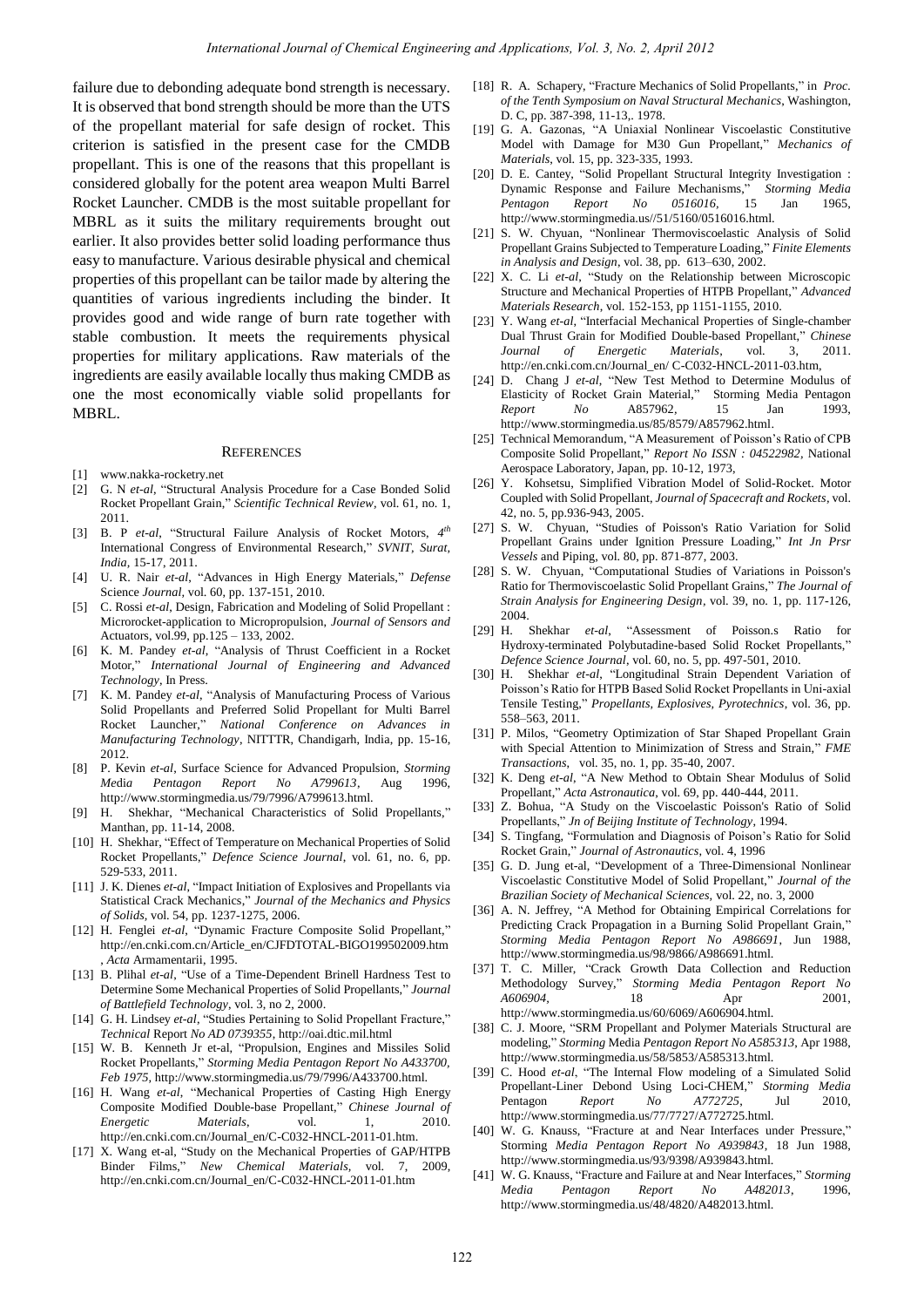failure due to debonding adequate bond strength is necessary. It is observed that bond strength should be more than the UTS of the propellant material for safe design of rocket. This criterion is satisfied in the present case for the CMDB propellant. This is one of the reasons that this propellant is considered globally for the potent area weapon Multi Barrel Rocket Launcher. CMDB is the most suitable propellant for MBRL as it suits the military requirements brought out earlier. It also provides better solid loading performance thus easy to manufacture. Various desirable physical and chemical properties of this propellant can be tailor made by altering the quantities of various ingredients including the binder. It provides good and wide range of burn rate together with stable combustion. It meets the requirements physical properties for military applications. Raw materials of the ingredients are easily available locally thus making CMDB as one the most economically viable solid propellants for MBRL. Remember of Chemical Engineering Remember of D. A. C. 2, April 2013<br>
122 **International State Consumer of Chemical Engineering and Applications (Vol. 2, Applications Consumer State Consumer State Consumer State Consumer S** 

## **REFERENCES**

- [1] www.nakka-rocketry.net
- [2] G. N *et-al*, "Structural Analysis Procedure for a Case Bonded Solid Rocket Propellant Grain," *Scientific Technical Review,* vol. 61, no. 1, 2011.
- [3] B. P *et-al*, "Structural Failure Analysis of Rocket Motors, *4 th* International Congress of Environmental Research," *SVNIT, Surat, India,* 15-17, 2011.
- [4] U. R. Nair *et-al*, "Advances in High Energy Materials," *Defense*  Science *Journal,* vol. 60, pp. 137-151, 2010.
- [5] C. Rossi *et-al*, Design, Fabrication and Modeling of Solid Propellant : Microrocket-application to Micropropulsion, *Journal of Sensors and*  Actuators, vol.99, pp.125 – 133, 2002.
- [6] K. M. Pandey *et-al*, "Analysis of Thrust Coefficient in a Rocket Motor," *International Journal of Engineering and Advanced Technology*, In Press.
- [7] K. M. Pandey *et-al*, "Analysis of Manufacturing Process of Various Solid Propellants and Preferred Solid Propellant for Multi Barrel Rocket Launcher," *National Conference on Advances in Manufacturing Technology*, NITTTR, Chandigarh, India, pp. 15-16, 2012.
- [8] P. Kevin *et-al*, Surface Science for Advanced Propulsion, *Storming Me*di*a Pentagon Report No A799613*, Aug 1996, http://www.stormingmedia.us/79/7996/A799613.html.
- [9] H. Shekhar, "Mechanical Characteristics of Solid Propellants," Manthan, pp. 11-14, 2008.
- [10] H. Shekhar, "Effect of Temperature on Mechanical Properties of Solid Rocket Propellants," *Defence Science Journal*, vol. 61, no. 6, pp. 529-533, 2011.
- [11] J. K. Dienes *et-al*, "Impact Initiation of Explosives and Propellants via Statistical Crack Mechanics," *Journal of the Mechanics and Physics of Solids,* vol. 54, pp. 1237-1275, 2006.
- [12] H. Fenglei *et-al*, "Dynamic Fracture Composite Solid Propellant," http://en.cnki.com.cn/Article\_en/CJFDTOTAL-BIGO199502009.htm , *Acta* Armamentarii, 1995.
- [13] B. Plihal *et-al*, "Use of a Time-Dependent Brinell Hardness Test to Determine Some Mechanical Properties of Solid Propellants," *Journal of Battlefield Technology*, vol. 3, no 2, 2000.
- [14] G. H. Lindsey *et-al*, "Studies Pertaining to Solid Propellant Fracture," *Technical* Report *No AD 0739355*, http://oai.dtic.mil.html
- [15] W. B. Kenneth Jr et-al, "Propulsion, Engines and Missiles Solid Rocket Propellants," *Storming Media Pentagon Report No A433700, Feb 1975,* http://www.stormingmedia.us/79/7996/A433700.html.
- [16] H. Wang *et-al*, "Mechanical Properties of Casting High Energy Composite Modified Double-base Propellant," *Chinese Journal of Energetic Materials*, vol. 1, 2010. http://en.cnki.com.cn/Journal\_en/C-C032-HNCL-2011-01.htm.
- [17] X. Wang et-al, "Study on the Mechanical Properties of GAP/HTPB Binder Films," *New Chemical Materials,* vol. 7, 2009, http://en.cnki.com.cn/Journal\_en/C-C032-HNCL-2011-01.htm
- [18] R. A. Schapery, "Fracture Mechanics of Solid Propellants," in *Proc. of the Tenth Symposium on Naval Structural Mechanics*, Washington, D. C, pp. 387-398, 11-13,. 1978.
- [19] G. A. Gazonas, "A Uniaxial Nonlinear Viscoelastic Constitutive Model with Damage for M30 Gun Propellant," *Mechanics of Materials*, vol. 15, pp. 323-335, 1993.
- [20] D. E. Cantey, "Solid Propellant Structural Integrity Investigation : Dynamic Response and Failure Mechanisms," *Storming Media Pentagon Report No 0516016,* 15 Jan 1965, http://www.stormingmedia.us//51/5160/0516016.html.
- [21] S. W. Chyuan, "Nonlinear Thermoviscoelastic Analysis of Solid Propellant Grains Subjected to Temperature Loading," *Finite Elements in Analysis and Design*, vol. 38, pp. 613–630, 2002.
- [22] X. C. Li *et-al*, "Study on the Relationship between Microscopic Structure and Mechanical Properties of HTPB Propellant," *Advanced Materials Research*, vol. 152-153, pp 1151-1155, 2010.
- [23] Y. Wang *et-al*, "Interfacial Mechanical Properties of Single-chamber Dual Thrust Grain for Modified Double-based Propellant," *Chinese Journal of Energetic Materials*, vol. 3, 2011. http://en.cnki.com.cn/Journal\_en/ C-C032-HNCL-2011-03.htm,
- [24] D. Chang J *et-al*, "New Test Method to Determine Modulus of Elasticity of Rocket Grain Material," Storming Media Pentagon *Report No* A857962*,* 15 Jan 1993, http://www.stormingmedia.us/85/8579/A857962.html.
- [25] Technical Memorandum, "A Measurement of Poisson's Ratio of CPB Composite Solid Propellant," *Report No ISSN : 04522982,* National Aerospace Laboratory, Japan, pp. 10-12, 1973,
- [26] Y. Kohsetsu, Simplified Vibration Model of Solid-Rocket. Motor Coupled with Solid Propellant, *Journal of Spacecraft and Rockets,* vol. 42, no. 5, pp.936-943, 2005.
- [27] S. W. Chyuan, "Studies of Poisson's Ratio Variation for Solid Propellant Grains under Ignition Pressure Loading," *Int Jn Prsr Vessels* and Piping, vol. 80, pp. 871-877, 2003.
- [28] S. W. Chyuan, "Computational Studies of Variations in Poisson's Ratio for Thermoviscoelastic Solid Propellant Grains," *The Journal of Strain Analysis for Engineering Design,* vol. 39, no. 1, pp. 117-126, 2004.
- [29] H. Shekhar *et-al*, "Assessment of Poisson.s Ratio for Hydroxy-terminated Polybutadine-based Solid Rocket Propellants," *Defence Science Journal*, vol. 60, no. 5, pp. 497-501, 2010.
- [30] H. Shekhar *et-al*, "Longitudinal Strain Dependent Variation of Poisson"s Ratio for HTPB Based Solid Rocket Propellants in Uni-axial Tensile Testing," *Propellants, Explosives, Pyrotechnics*, vol. 36, pp. 558–563, 2011.
- [31] P. Milos, "Geometry Optimization of Star Shaped Propellant Grain with Special Attention to Minimization of Stress and Strain," *FME Transactions*, vol. 35, no. 1, pp. 35-40, 2007.
- [32] K. Deng *et-al*, "A New Method to Obtain Shear Modulus of Solid Propellant," *Acta Astronautica*, vol. 69, pp. 440-444, 2011.
- [33] Z. Bohua, "A Study on the Viscoelastic Poisson's Ratio of Solid Propellants," *Jn of Beijing Institute of Technology*, 1994.
- [34] S. Tingfang, "Formulation and Diagnosis of Poison's Ratio for Solid Rocket Grain," *Journal of Astronautics*, vol. 4, 1996
- [35] G. D. Jung et-al, "Development of a Three-Dimensional Nonlinear Viscoelastic Constitutive Model of Solid Propellant," *Journal of the Brazilian Society of Mechanical Sciences,* vol. 22, no. 3, 2000
- [36] A. N. Jeffrey, "A Method for Obtaining Empirical Correlations for Predicting Crack Propagation in a Burning Solid Propellant Grain," *Storming Media Pentagon Report No A986691*, Jun 1988, http://www.stormingmedia.us/98/9866/A986691.html.
- [37] T. C. Miller, "Crack Growth Data Collection and Reduction Methodology Survey," *Storming Media Pentagon Report No A606904,* 18 Apr 2001, http://www.stormingmedia.us/60/6069/A606904.html.
- [38] C. J. Moore, "SRM Propellant and Polymer Materials Structural are modeling," *Storming* Media *Pentagon Report No A585313*, Apr 1988, http://www.stormingmedia.us/58/5853/A585313.html.
- [39] C. Hood *et-al*, "The Internal Flow modeling of a Simulated Solid Propellant-Liner Debond Using Loci-CHEM," *Storming Media*  Pentagon *Report No A772725*, Jul 2010, http://www.stormingmedia.us/77/7727/A772725.html.
- [40] W. G. Knauss, "Fracture at and Near Interfaces under Pressure," Storming *Media Pentagon Report No A939843*, 18 Jun 1988, http://www.stormingmedia.us/93/9398/A939843.html.
- [41] W. G. Knauss, "Fracture and Failure at and Near Interfaces," *Storming Media Pentagon Report No A482013*, 1996, http://www.stormingmedia.us/48/4820/A482013.html.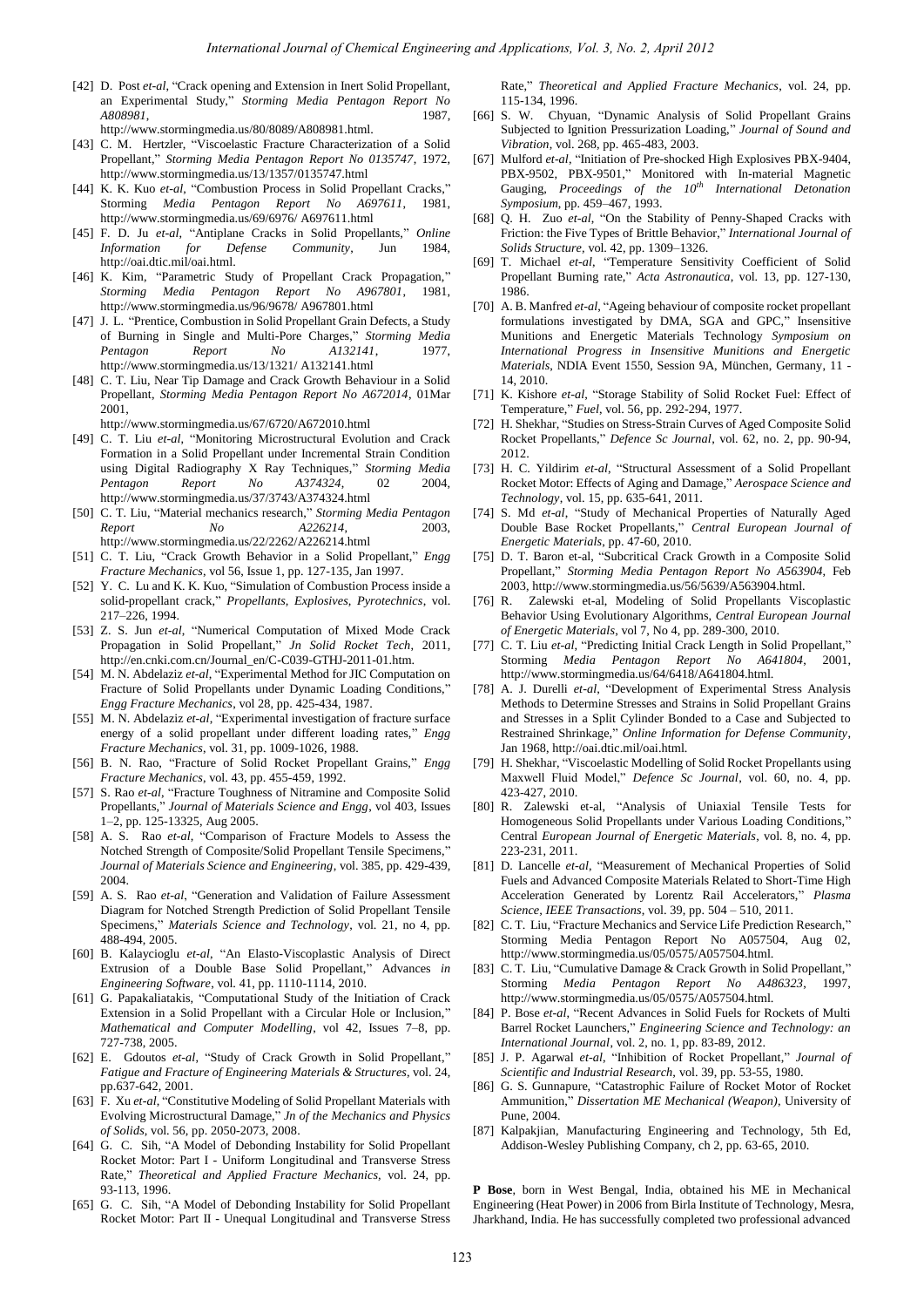- [42] D. Post *et-al*, "Crack opening and Extension in Inert Solid Propellant, an Experimental Study," *Storming Media Pentagon Report No A808981*, 1987, http://www.stormingmedia.us/80/8089/A808981.html.
- [43] C. M. Hertzler, "Viscoelastic Fracture Characterization of a Solid Propellant," *Storming Media Pentagon Report No 0135747*, 1972, http://www.stormingmedia.us/13/1357/0135747.html
- [44] K. K. Kuo *et-al*, "Combustion Process in Solid Propellant Cracks," Storming *Media Pentagon Report No A697611*, 1981, http://www.stormingmedia.us/69/6976/ A697611.html
- [45] F. D. Ju *et-al*, "Antiplane Cracks in Solid Propellants," *Online Information for Defense Community*, Jun 1984, http://oai.dtic.mil/oai.html.
- [46] K. Kim, "Parametric Study of Propellant Crack Propagation," *Storming Media Pentagon Report No A967801*, 1981, http://www.stormingmedia.us/96/9678/ A967801.html
- [47] J. L. "Prentice, Combustion in Solid Propellant Grain Defects, a Study of Burning in Single and Multi-Pore Charges," *Storming Media Pentagon Report No A132141*, 1977, http://www.stormingmedia.us/13/1321/ A132141.html
- [48] C. T. Liu, Near Tip Damage and Crack Growth Behaviour in a Solid Propellant, *Storming Media Pentagon Report No A672014*, 01Mar 2001,

http://www.stormingmedia.us/67/6720/A672010.html

- [49] C. T. Liu *et-al*, "Monitoring Microstructural Evolution and Crack Formation in a Solid Propellant under Incremental Strain Condition using Digital Radiography X Ray Techniques," *Storming Media Pentagon Report No A374324*, 02 2004, http://www.stormingmedia.us/37/3743/A374324.html
- [50] C. T. Liu, "Material mechanics research," *Storming Media Pentagon Report No A226214*, 2003, http://www.stormingmedia.us/22/2262/A226214.html
- [51] C. T. Liu, "Crack Growth Behavior in a Solid Propellant," *Engg Fracture Mechanics*, vol 56, Issue 1, pp. 127-135, Jan 1997.
- [52] Y. C. Lu and K. K. Kuo, "Simulation of Combustion Process inside a solid-propellant crack," *Propellants, Explosives, Pyrotechnics*, vol. 217–226, 1994.
- [53] Z. S. Jun *et-al*, "Numerical Computation of Mixed Mode Crack Propagation in Solid Propellant," *Jn Solid Rocket Tech*, 2011, http://en.cnki.com.cn/Journal\_en/C-C039-GTHJ-2011-01.htm.
- [54] M. N. Abdelaziz *et-al*, "Experimental Method for JIC Computation on Fracture of Solid Propellants under Dynamic Loading Conditions," *Engg Fracture Mechanics*, vol 28, pp. 425-434, 1987.
- [55] M. N. Abdelaziz *et-al*, "Experimental investigation of fracture surface energy of a solid propellant under different loading rates," *Engg Fracture Mechanics*, vol. 31, pp. 1009-1026, 1988.
- [56] B. N. Rao, "Fracture of Solid Rocket Propellant Grains," *Engg Fracture Mechanics*, vol. 43, pp. 455-459, 1992.
- [57] S. Rao *et-al*, "Fracture Toughness of Nitramine and Composite Solid Propellants," *Journal of Materials Science and Engg*, vol 403, Issues 1–2, pp. 125-13325, Aug 2005.
- [58] A. S. Rao *et-al*, "Comparison of Fracture Models to Assess the Notched Strength of Composite/Solid Propellant Tensile Specimens," *Journal of Materials Science and Engineering*, vol. 385, pp. 429-439, 2004.
- [59] A. S. Rao *et-al*, "Generation and Validation of Failure Assessment Diagram for Notched Strength Prediction of Solid Propellant Tensile Specimens," *Materials Science and Technology*, vol. 21, no 4, pp. 488-494, 2005.
- [60] B. Kalaycioglu *et-al*, "An Elasto-Viscoplastic Analysis of Direct Extrusion of a Double Base Solid Propellant," Advances *in Engineering Software*, vol. 41, pp. 1110-1114, 2010.
- [61] G. Papakaliatakis, "Computational Study of the Initiation of Crack Extension in a Solid Propellant with a Circular Hole or Inclusion," *Math*e*matical and Computer Modelling*, vol 42, Issues 7–8, pp. 727-738, 2005.
- [62] E. Gdoutos *et-al*, "Study of Crack Growth in Solid Propellant," *Fatigue and Fracture of Engineering Materials & Structures*, vol. 24, pp.637-642, 2001.
- [63] F. Xu *et-al*, "Constitutive Modeling of Solid Propellant Materials with Evolving Microstructural Damage," *Jn of the Mechanics and Physics of Solids*, vol. 56, pp. 2050-2073, 2008.
- [64] G. C. Sih, "A Model of Debonding Instability for Solid Propellant Rocket Motor: Part I - Uniform Longitudinal and Transverse Stress Rate," *Theoretical and Applied Fracture Mechanics,* vol. 24, pp. 93-113, 1996.
- [65] G. C. Sih, "A Model of Debonding Instability for Solid Propellant Rocket Motor: Part II - Unequal Longitudinal and Transverse Stress

Rate," *Theoretical and Applied Fracture Mechanics*, vol. 24, pp. 115-134, 1996.

- [66] S. W. Chyuan, "Dynamic Analysis of Solid Propellant Grains Subjected to Ignition Pressurization Loading," *Journal of Sound and Vibration*, vol. 268, pp. 465-483, 2003.
- [67] Mulford *et-al*, "Initiation of Pre-shocked High Explosives PBX-9404, PBX-9502, PBX-9501," Monitored with In-material Magnetic Gauging, *Proceedings of the 10th International Detonation Symposium*, pp. 459–467, 1993.
- [68] Q. H. Zuo *et-al*, "On the Stability of Penny-Shaped Cracks with Friction: the Five Types of Brittle Behavior," *International Journal of Solids Structure,* vol. 42, pp. 1309–1326.
- [69] T. Michael *et-al*, "Temperature Sensitivity Coefficient of Solid Propellant Burning rate," *Acta Astronautica*, vol. 13, pp. 127-130, 1986.
- [70] A. B. Manfred *et-al*, "Ageing behaviour of composite rocket propellant formulations investigated by DMA, SGA and GPC," Insensitive Munitions and Energetic Materials Technology *Symposium on International Progress in Insensitive Munitions and Energetic Materials*, NDIA Event 1550, Session 9A, München, Germany, 11 - 14, 2010. Here we have the trace of the chemical engine of the chemical engine of the chemical engine of Chemical engine of Chemical engine of the chemical engine of the chemical engine of the chemical engine of the chemical engine
	- [71] K. Kishore *et-al*, "Storage Stability of Solid Rocket Fuel: Effect of Temperature," *Fuel*, vol. 56, pp. 292-294, 1977.
	- [72] H. Shekhar, "Studies on Stress-Strain Curves of Aged Composite Solid Rocket Propellants," *Defence Sc Journal*, vol. 62, no. 2, pp. 90-94, 2012.
	- [73] H. C. Yildirim *et-al*, "Structural Assessment of a Solid Propellant Rocket Motor: Effects of Aging and Damage," *Aerospace Science and Technology*, vol. 15, pp. 635-641, 2011.
	- [74] S. Md *et-al*, "Study of Mechanical Properties of Naturally Aged Double Base Rocket Propellants," *Central European Journal of Energetic Materials*, pp. 47-60, 2010.
	- [75] D. T. Baron et-al, "Subcritical Crack Growth in a Composite Solid Propellant," *Storming Media Pentagon Report No A563904*, Feb 2003, http://www.stormingmedia.us/56/5639/A563904.html.
	- [76] R. Zalewski et-al, Modeling of Solid Propellants Viscoplastic Behavior Using Evolutionary Algorithms, *Central European Journal of Energetic Materials*, vol 7, No 4, pp. 289-300, 2010.
	- [77] C. T. Liu *et-al*, "Predicting Initial Crack Length in Solid Propellant," Storming *Media Pentagon Report No A641804*, 2001, http://www.stormingmedia.us/64/6418/A641804.html.
	- [78] A. J. Durelli *et-al*, "Development of Experimental Stress Analysis Methods to Determine Stresses and Strains in Solid Propellant Grains and Stresses in a Split Cylinder Bonded to a Case and Subjected to Restrained Shrinkage," *Online Information for Defense Community*, Jan 1968, http://oai.dtic.mil/oai.html.
	- [79] H. Shekhar, "Viscoelastic Modelling of Solid Rocket Propellants using Maxwell Fluid Model," *Defence Sc Journal*, vol. 60, no. 4, pp. 423-427, 2010.
	- [80] R. Zalewski et-al, "Analysis of Uniaxial Tensile Tests for Homogeneous Solid Propellants under Various Loading Conditions," Central *European Journal of Energetic Materials*, vol. 8, no. 4, pp. 223-231, 2011.
	- [81] D. Lancelle *et-al*, "Measurement of Mechanical Properties of Solid Fuels and Advanced Composite Materials Related to Short-Time High Acceleration Generated by Lorentz Rail Accelerators," *Plasma Science, IEEE Transactions*, vol. 39, pp. 504 – 510, 2011.
	- [82] C. T. Liu, "Fracture Mechanics and Service Life Prediction Research," Storming Media Pentagon Report No A057504, Aug 02, http://www.stormingmedia.us/05/0575/A057504.html.
	- [83] C. T. Liu, "Cumulative Damage & Crack Growth in Solid Propellant," Storming *Media Pentagon Report No A486323*, 1997, http://www.stormingmedia.us/05/0575/A057504.html.
	- [84] P. Bose *et-al*, "Recent Advances in Solid Fuels for Rockets of Multi Barrel Rocket Launchers," *Engineering Science and Technology: an International Journal*, vol. 2, no. 1, pp. 83-89, 2012.
	- [85] J. P. Agarwal *et-al*, "Inhibition of Rocket Propellant," *Journal of Scientific and Industrial Research,* vol. 39, pp. 53-55, 1980.
	- [86] G. S. Gunnapure, "Catastrophic Failure of Rocket Motor of Rocket Ammunition," *Dissertation ME Mechanical (Weapon)*, University of Pune, 2004.
	- [87] Kalpakjian, Manufacturing Engineering and Technology, 5th Ed, Addison-Wesley Publishing Company, ch 2, pp. 63-65, 2010.

**P Bose**, born in West Bengal, India, obtained his ME in Mechanical Engineering (Heat Power) in 2006 from Birla Institute of Technology, Mesra, Jharkhand, India. He has successfully completed two professional advanced